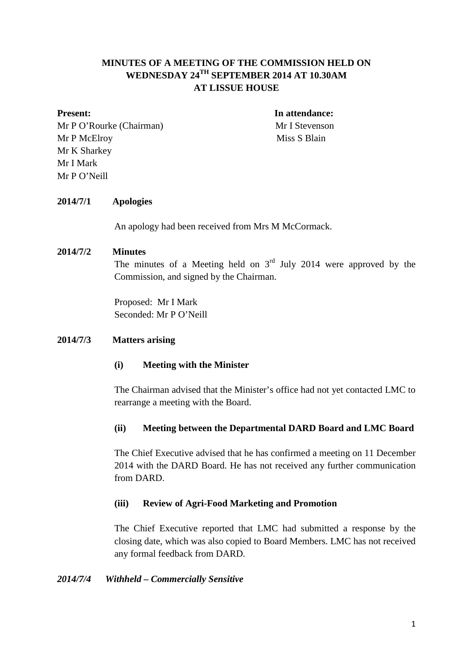# **MINUTES OF A MEETING OF THE COMMISSION HELD ON WEDNESDAY 24TH SEPTEMBER 2014 AT 10.30AM AT LISSUE HOUSE**

Mr P O'Rourke (Chairman) Mr I Stevenson Mr P McElroy Miss S Blain Mr K Sharkey Mr I Mark Mr P O'Neill

**Present:** In attendance:

## **2014/7/1 Apologies**

An apology had been received from Mrs M McCormack.

## **2014/7/2 Minutes**

The minutes of a Meeting held on  $3<sup>rd</sup>$  July 2014 were approved by the Commission, and signed by the Chairman.

Proposed: Mr I Mark Seconded: Mr P O'Neill

### **2014/7/3 Matters arising**

### **(i) Meeting with the Minister**

The Chairman advised that the Minister's office had not yet contacted LMC to rearrange a meeting with the Board.

# **(ii) Meeting between the Departmental DARD Board and LMC Board**

The Chief Executive advised that he has confirmed a meeting on 11 December 2014 with the DARD Board. He has not received any further communication from DARD.

### **(iii) Review of Agri-Food Marketing and Promotion**

The Chief Executive reported that LMC had submitted a response by the closing date, which was also copied to Board Members. LMC has not received any formal feedback from DARD.

### *2014/7/4 Withheld – Commercially Sensitive*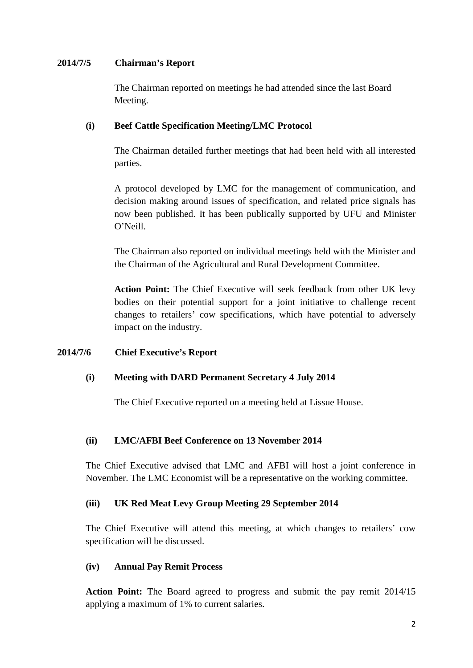## **2014/7/5 Chairman's Report**

The Chairman reported on meetings he had attended since the last Board Meeting.

## **(i) Beef Cattle Specification Meeting/LMC Protocol**

The Chairman detailed further meetings that had been held with all interested parties.

A protocol developed by LMC for the management of communication, and decision making around issues of specification, and related price signals has now been published. It has been publically supported by UFU and Minister O'Neill.

The Chairman also reported on individual meetings held with the Minister and the Chairman of the Agricultural and Rural Development Committee.

**Action Point:** The Chief Executive will seek feedback from other UK levy bodies on their potential support for a joint initiative to challenge recent changes to retailers' cow specifications, which have potential to adversely impact on the industry.

# **2014/7/6 Chief Executive's Report**

# **(i) Meeting with DARD Permanent Secretary 4 July 2014**

The Chief Executive reported on a meeting held at Lissue House.

### **(ii) LMC/AFBI Beef Conference on 13 November 2014**

The Chief Executive advised that LMC and AFBI will host a joint conference in November. The LMC Economist will be a representative on the working committee.

### **(iii) UK Red Meat Levy Group Meeting 29 September 2014**

The Chief Executive will attend this meeting, at which changes to retailers' cow specification will be discussed.

## **(iv) Annual Pay Remit Process**

**Action Point:** The Board agreed to progress and submit the pay remit 2014/15 applying a maximum of 1% to current salaries.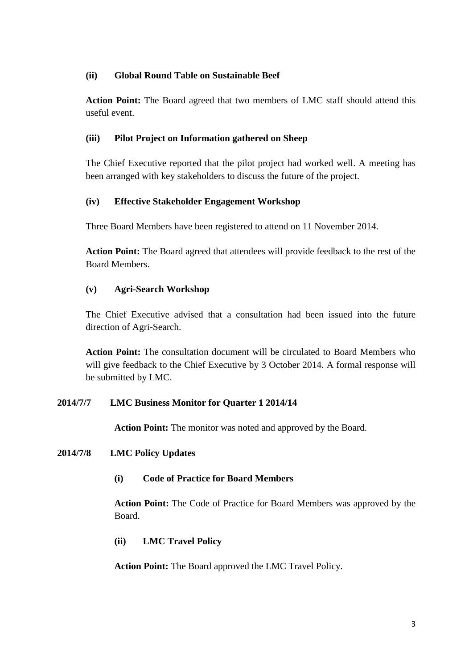# **(ii) Global Round Table on Sustainable Beef**

**Action Point:** The Board agreed that two members of LMC staff should attend this useful event.

# **(iii) Pilot Project on Information gathered on Sheep**

The Chief Executive reported that the pilot project had worked well. A meeting has been arranged with key stakeholders to discuss the future of the project.

# **(iv) Effective Stakeholder Engagement Workshop**

Three Board Members have been registered to attend on 11 November 2014.

**Action Point:** The Board agreed that attendees will provide feedback to the rest of the Board Members.

# **(v) Agri-Search Workshop**

The Chief Executive advised that a consultation had been issued into the future direction of Agri-Search.

**Action Point:** The consultation document will be circulated to Board Members who will give feedback to the Chief Executive by 3 October 2014. A formal response will be submitted by LMC.

# **2014/7/7 LMC Business Monitor for Quarter 1 2014/14**

**Action Point:** The monitor was noted and approved by the Board.

# **2014/7/8 LMC Policy Updates**

**(i) Code of Practice for Board Members**

**Action Point:** The Code of Practice for Board Members was approved by the Board.

# **(ii) LMC Travel Policy**

**Action Point:** The Board approved the LMC Travel Policy.